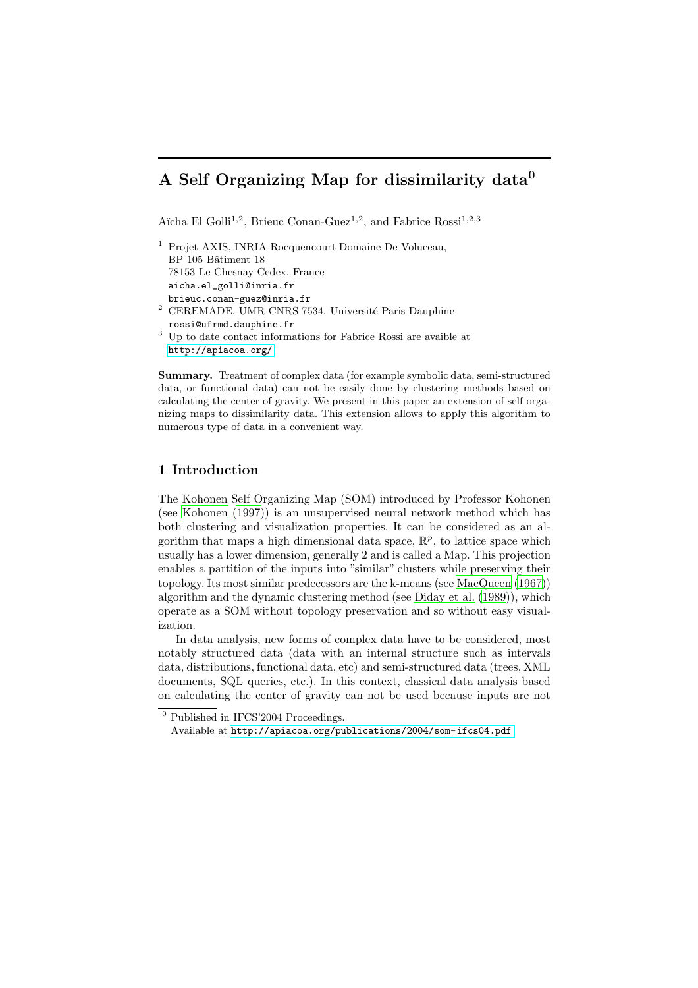# A Self Organizing Map for dissimilarity data<sup>0</sup>

Aïcha El Golli<sup>1,2</sup>, Brieuc Conan-Guez<sup>1,2</sup>, and Fabrice Rossi<sup>1,2,3</sup>

| <sup>1</sup> Projet AXIS, INRIA-Rocquencourt Domaine De Voluceau, |
|-------------------------------------------------------------------|
| BP 105 Bâtiment 18                                                |
| 78153 Le Chesnay Cedex, France                                    |
| aicha.el_golli@inria.fr                                           |
| brieuc.conan-guez@inria.fr                                        |
| <sup>2</sup> CEREMADE, UMR CNRS 7534, Université Paris Dauphine   |
|                                                                   |

rossi@ufrmd.dauphine.fr <sup>3</sup> Up to date contact informations for Fabrice Rossi are avaible at <http://apiacoa.org/>

Summary. Treatment of complex data (for example symbolic data, semi-structured data, or functional data) can not be easily done by clustering methods based on calculating the center of gravity. We present in this paper an extension of self organizing maps to dissimilarity data. This extension allows to apply this algorithm to numerous type of data in a convenient way.

# 1 Introduction

The Kohonen Self Organizing Map (SOM) introduced by Professor Kohonen (see [Kohonen](#page-8-0) [\(1997\)](#page-8-0)) is an unsupervised neural network method which has both clustering and visualization properties. It can be considered as an algorithm that maps a high dimensional data space,  $\mathbb{R}^p$ , to lattice space which usually has a lower dimension, generally 2 and is called a Map. This projection enables a partition of the inputs into "similar" clusters while preserving their topology. Its most similar predecessors are the k-means (see [MacQueen](#page-8-1) [\(1967\)](#page-8-1)) algorithm and the dynamic clustering method (see [Diday](#page-8-2) et al. [\(1989](#page-8-2))), which operate as a SOM without topology preservation and so without easy visualization.

In data analysis, new forms of complex data have to be considered, most notably structured data (data with an internal structure such as intervals data, distributions, functional data, etc) and semi-structured data (trees, XML documents, SQL queries, etc.). In this context, classical data analysis based on calculating the center of gravity can not be used because inputs are not

 $\overline{^0}$  Published in IFCS'2004 Proceedings.

Available at <http://apiacoa.org/publications/2004/som-ifcs04.pdf>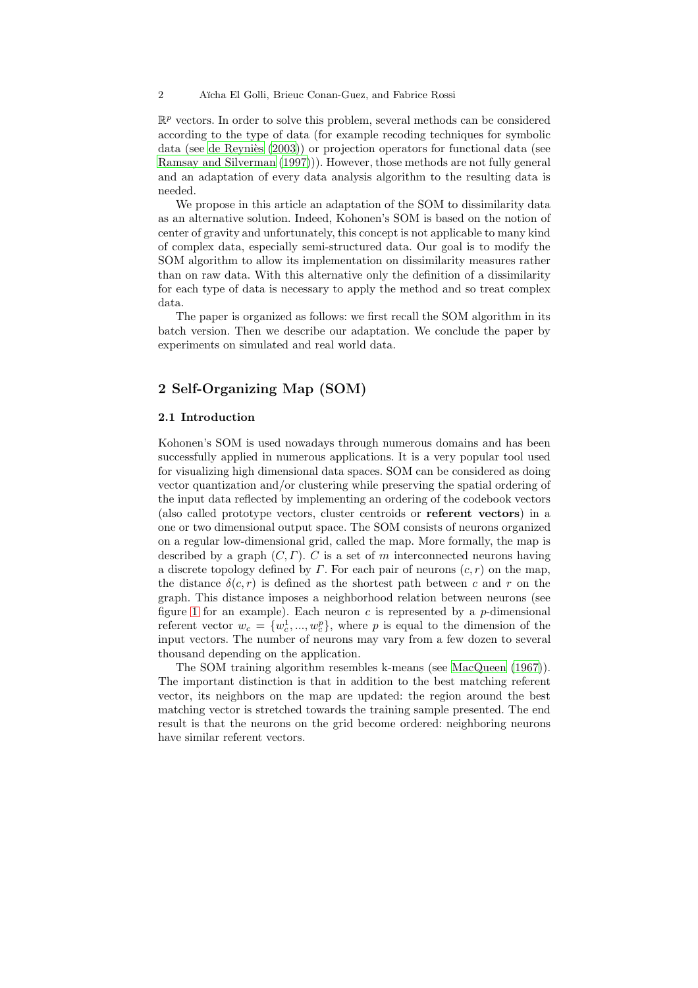2 Aïcha El Golli, Brieuc Conan-Guez, and Fabrice Rossi

 $\mathbb{R}^p$  vectors. In order to solve this problem, several methods can be considered according to the type of data (for example recoding techniques for symbolic data (see de Reyniès  $(2003)$  $(2003)$ ) or projection operators for functional data (see Ramsay and [Silverman](#page-8-3) [\(1997](#page-8-3)))). However, those methods are not fully general and an adaptation of every data analysis algorithm to the resulting data is needed.

We propose in this article an adaptation of the SOM to dissimilarity data as an alternative solution. Indeed, Kohonen's SOM is based on the notion of center of gravity and unfortunately, this concept is not applicable to many kind of complex data, especially semi-structured data. Our goal is to modify the SOM algorithm to allow its implementation on dissimilarity measures rather than on raw data. With this alternative only the definition of a dissimilarity for each type of data is necessary to apply the method and so treat complex data.

The paper is organized as follows: we first recall the SOM algorithm in its batch version. Then we describe our adaptation. We conclude the paper by experiments on simulated and real world data.

# 2 Self-Organizing Map (SOM)

### 2.1 Introduction

Kohonen's SOM is used nowadays through numerous domains and has been successfully applied in numerous applications. It is a very popular tool used for visualizing high dimensional data spaces. SOM can be considered as doing vector quantization and/or clustering while preserving the spatial ordering of the input data reflected by implementing an ordering of the codebook vectors (also called prototype vectors, cluster centroids or referent vectors) in a one or two dimensional output space. The SOM consists of neurons organized on a regular low-dimensional grid, called the map. More formally, the map is described by a graph  $(C, \Gamma)$ . C is a set of m interconnected neurons having a discrete topology defined by  $\Gamma$ . For each pair of neurons  $(c, r)$  on the map, the distance  $\delta(c, r)$  is defined as the shortest path between c and r on the graph. This distance imposes a neighborhood relation between neurons (see figure [1](#page-2-0) for an example). Each neuron  $c$  is represented by a  $p$ -dimensional referent vector  $w_c = \{w_c^1, ..., w_c^p\}$ , where p is equal to the dimension of the input vectors. The number of neurons may vary from a few dozen to several thousand depending on the application.

The SOM training algorithm resembles k-means (see [MacQueen](#page-8-1) [\(1967](#page-8-1))). The important distinction is that in addition to the best matching referent vector, its neighbors on the map are updated: the region around the best matching vector is stretched towards the training sample presented. The end result is that the neurons on the grid become ordered: neighboring neurons have similar referent vectors.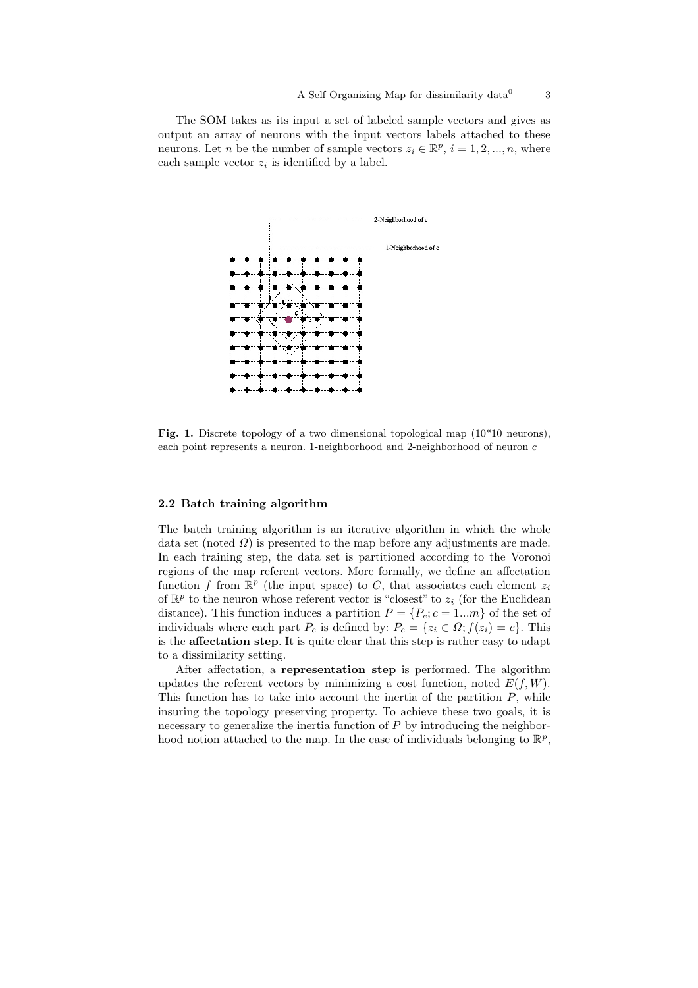The SOM takes as its input a set of labeled sample vectors and gives as output an array of neurons with the input vectors labels attached to these neurons. Let *n* be the number of sample vectors  $z_i \in \mathbb{R}^p$ ,  $i = 1, 2, ..., n$ , where each sample vector  $z_i$  is identified by a label.



<span id="page-2-0"></span>Fig. 1. Discrete topology of a two dimensional topological map (10\*10 neurons), each point represents a neuron. 1-neighborhood and 2-neighborhood of neuron c

## 2.2 Batch training algorithm

The batch training algorithm is an iterative algorithm in which the whole data set (noted  $\Omega$ ) is presented to the map before any adjustments are made. In each training step, the data set is partitioned according to the Voronoi regions of the map referent vectors. More formally, we define an affectation function f from  $\mathbb{R}^p$  (the input space) to C, that associates each element  $z_i$ of  $\mathbb{R}^p$  to the neuron whose referent vector is "closest" to  $z_i$  (for the Euclidean distance). This function induces a partition  $P = \{P_c; c = 1...m\}$  of the set of individuals where each part  $P_c$  is defined by:  $P_c = \{z_i \in \Omega; f(z_i) = c\}$ . This is the affectation step. It is quite clear that this step is rather easy to adapt to a dissimilarity setting.

After affectation, a representation step is performed. The algorithm updates the referent vectors by minimizing a cost function, noted  $E(f, W)$ . This function has to take into account the inertia of the partition  $P$ , while insuring the topology preserving property. To achieve these two goals, it is necessary to generalize the inertia function of  $P$  by introducing the neighborhood notion attached to the map. In the case of individuals belonging to  $\mathbb{R}^p$ ,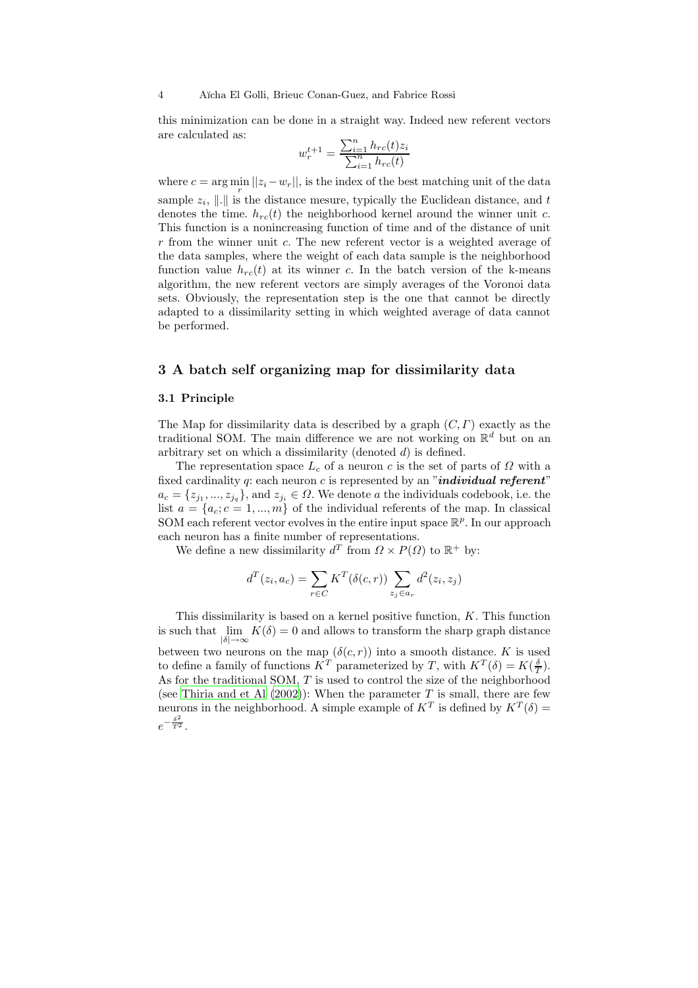4 A¨ıcha El Golli, Brieuc Conan-Guez, and Fabrice Rossi

this minimization can be done in a straight way. Indeed new referent vectors are calculated as:

$$
w_r^{t+1} = \frac{\sum_{i=1}^n h_{rc}(t)z_i}{\sum_{i=1}^n h_{rc}(t)}
$$

where  $c = \arg \min_{r} ||z_i - w_r||$ , is the index of the best matching unit of the data sample  $z_i$ , ||.|| is the distance mesure, typically the Euclidean distance, and t denotes the time.  $h_{rc}(t)$  the neighborhood kernel around the winner unit c. This function is a nonincreasing function of time and of the distance of unit  $r$  from the winner unit  $c$ . The new referent vector is a weighted average of the data samples, where the weight of each data sample is the neighborhood function value  $h_{rc}(t)$  at its winner c. In the batch version of the k-means algorithm, the new referent vectors are simply averages of the Voronoi data sets. Obviously, the representation step is the one that cannot be directly adapted to a dissimilarity setting in which weighted average of data cannot be performed.

## 3 A batch self organizing map for dissimilarity data

#### 3.1 Principle

The Map for dissimilarity data is described by a graph  $(C, \Gamma)$  exactly as the traditional SOM. The main difference we are not working on  $\mathbb{R}^d$  but on an arbitrary set on which a dissimilarity (denoted  $d$ ) is defined.

The representation space  $L_c$  of a neuron c is the set of parts of  $\Omega$  with a fixed cardinality q: each neuron c is represented by an "individual referent"  $a_c = \{z_{j_1},...,z_{j_q}\}\$ , and  $z_{j_i} \in \Omega$ . We denote a the individuals codebook, i.e. the list  $a = \{a_c; c = 1, ..., m\}$  of the individual referents of the map. In classical SOM each referent vector evolves in the entire input space  $\mathbb{R}^p$ . In our approach each neuron has a finite number of representations.

We define a new dissimilarity  $d^T$  from  $\Omega \times P(\Omega)$  to  $\mathbb{R}^+$  by:

$$
d^{T}(z_i, a_c) = \sum_{r \in C} K^{T}(\delta(c, r)) \sum_{z_j \in a_r} d^{2}(z_i, z_j)
$$

This dissimilarity is based on a kernel positive function,  $K$ . This function is such that  $\lim_{|\delta| \to \infty} K(\delta) = 0$  and allows to transform the sharp graph distance between two neurons on the map  $(\delta(c, r))$  into a smooth distance. K is used to define a family of functions  $K^T$  parameterized by T, with  $K^T(\delta) = K(\frac{\delta}{T})$ . As for the traditional SOM,  $T$  is used to control the size of the neighborhood (see [Thiria](#page-8-4) and et Al  $(2002)$ ): When the parameter T is small, there are few neurons in the neighborhood. A simple example of  $K^T$  is defined by  $K^T(\delta)$  =  $e^{-\frac{\delta^2}{T^2}}$ .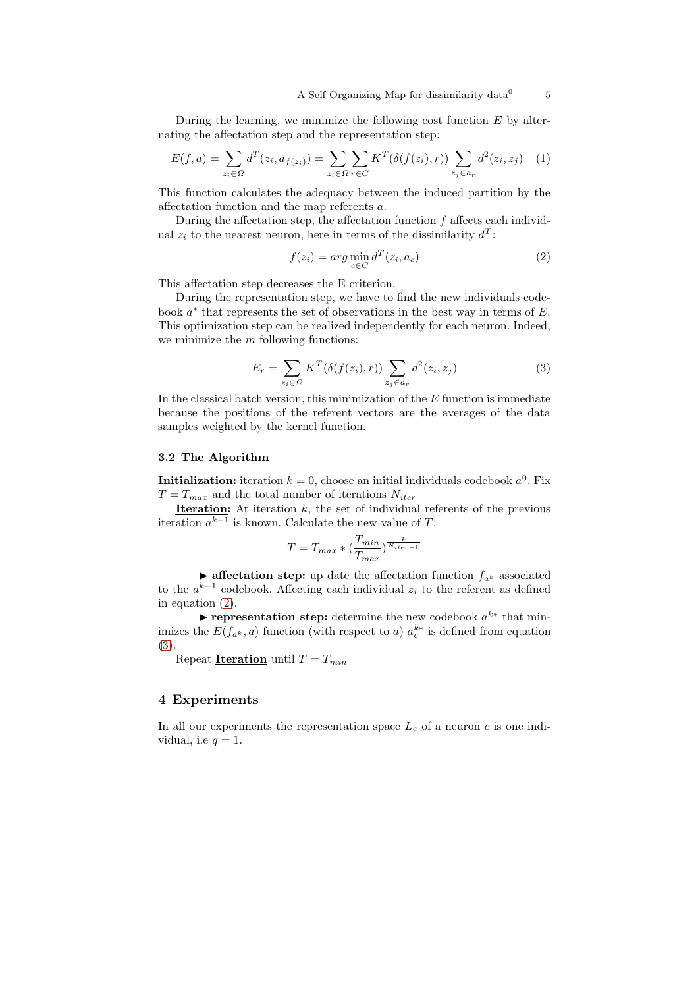During the learning, we minimize the following cost function  $E$  by alternating the affectation step and the representation step:

$$
E(f, a) = \sum_{z_i \in \Omega} d^T(z_i, a_{f(z_i)}) = \sum_{z_i \in \Omega} \sum_{r \in C} K^T(\delta(f(z_i), r)) \sum_{z_j \in a_r} d^2(z_i, z_j) \tag{1}
$$

This function calculates the adequacy between the induced partition by the affectation function and the map referents a.

During the affectation step, the affectation function  $f$  affects each individual  $z_i$  to the nearest neuron, here in terms of the dissimilarity  $d^T$ :

$$
f(z_i) = arg \min_{c \in C} d^T(z_i, a_c)
$$
 (2)

<span id="page-4-0"></span>This affectation step decreases the E criterion.

During the representation step, we have to find the new individuals codebook  $a^*$  that represents the set of observations in the best way in terms of  $E$ . This optimization step can be realized independently for each neuron. Indeed, we minimize the  $m$  following functions:

$$
E_r = \sum_{z_i \in \Omega} K^T(\delta(f(z_i), r)) \sum_{z_j \in a_r} d^2(z_i, z_j)
$$
 (3)

<span id="page-4-1"></span>In the classical batch version, this minimization of the  $E$  function is immediate because the positions of the referent vectors are the averages of the data samples weighted by the kernel function.

## 3.2 The Algorithm

**Initialization:** iteration  $k = 0$ , choose an initial individuals codebook  $a^0$ . Fix  $T = T_{max}$  and the total number of iterations  $N_{iter}$ 

**Iteration:** At iteration  $k$ , the set of individual referents of the previous iteration  $a^{k-1}$  is known. Calculate the new value of T:

$$
T = T_{max} * (\frac{T_{min}}{T_{max}})^{\frac{k}{N_{iter}-1}}
$$

**Example 1** affectation step: up date the affectation function  $f_{a^k}$  associated to the  $a^{k-1}$  codebook. Affecting each individual  $z_i$  to the referent as defined in equation [\(2\)](#page-4-0).

representation step: determine the new codebook  $a^{k*}$  that minimizes the  $E(f_{a^k}, a)$  function (with respect to a)  $a_c^{k*}$  is defined from equation [\(3\)](#page-4-1).

Repeat **Iteration** until  $T = T_{min}$ 

## 4 Experiments

In all our experiments the representation space  $L_c$  of a neuron c is one individual, i.e  $q = 1$ .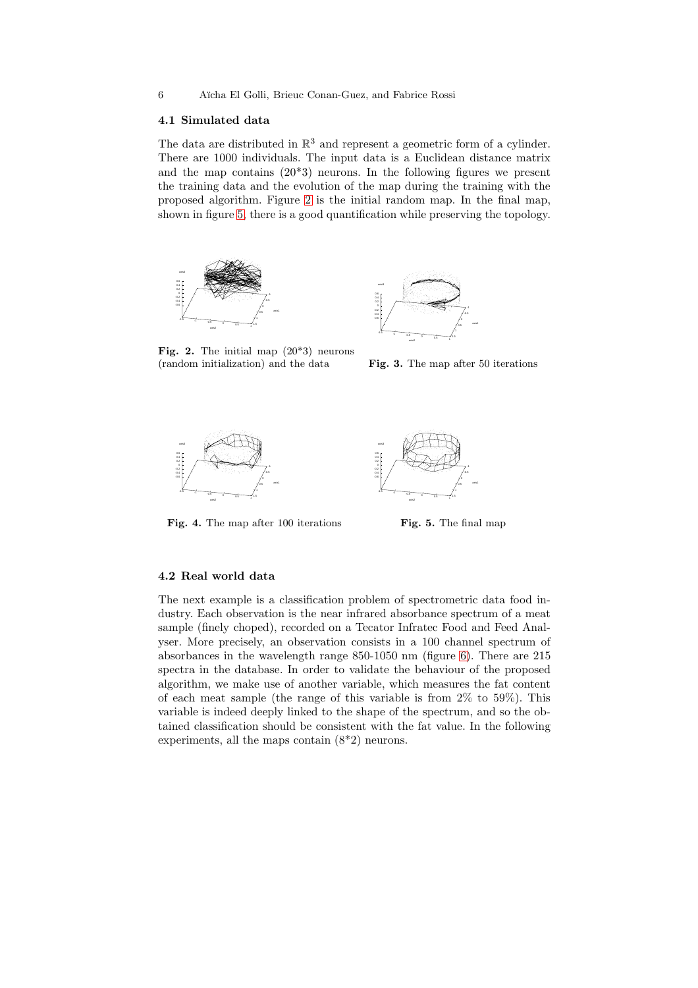### 6 A¨ıcha El Golli, Brieuc Conan-Guez, and Fabrice Rossi

## 4.1 Simulated data

The data are distributed in  $\mathbb{R}^3$  and represent a geometric form of a cylinder. There are 1000 individuals. The input data is a Euclidean distance matrix and the map contains (20\*3) neurons. In the following figures we present the training data and the evolution of the map during the training with the proposed algorithm. Figure [2](#page-5-0) is the initial random map. In the final map, shown in figure [5,](#page-5-1) there is a good quantification while preserving the topology.



-1 -0.5 0 0.5 1 1.5 axis1  $-1.5$   $-1$   $-0.5$  0 0.5 <sup>1</sup> axis2 -0.6 -0.4 0 0.4 0.6 axis3

<span id="page-5-0"></span>Fig. 2. The initial map  $(20^*3)$  neurons (random initialization) and the data

Fig. 3. The map after 50 iterations



Fig. 4. The map after 100 iterations

<span id="page-5-1"></span>

Fig. 5. The final map

#### 4.2 Real world data

The next example is a classification problem of spectrometric data food industry. Each observation is the near infrared absorbance spectrum of a meat sample (finely choped), recorded on a Tecator Infratec Food and Feed Analyser. More precisely, an observation consists in a 100 channel spectrum of absorbances in the wavelength range 850-1050 nm (figure [6\)](#page-6-0). There are 215 spectra in the database. In order to validate the behaviour of the proposed algorithm, we make use of another variable, which measures the fat content of each meat sample (the range of this variable is from 2% to 59%). This variable is indeed deeply linked to the shape of the spectrum, and so the obtained classification should be consistent with the fat value. In the following experiments, all the maps contain (8\*2) neurons.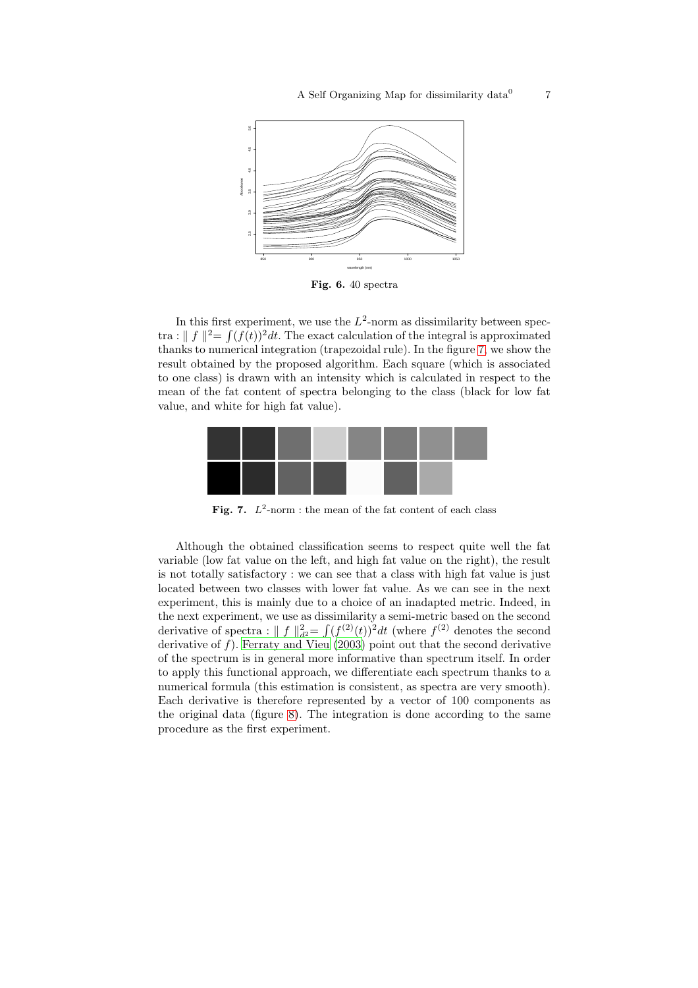7



<span id="page-6-0"></span>Fig. 6. 40 spectra

In this first experiment, we use the  $L^2$ -norm as dissimilarity between spectra :  $|| f ||^2 = \int (f(t))^2 dt$ . The exact calculation of the integral is approximated thanks to numerical integration (trapezoidal rule). In the figure [7,](#page-6-1) we show the result obtained by the proposed algorithm. Each square (which is associated to one class) is drawn with an intensity which is calculated in respect to the mean of the fat content of spectra belonging to the class (black for low fat value, and white for high fat value).



Fig. 7.  $L^2$ -norm : the mean of the fat content of each class

<span id="page-6-1"></span>Although the obtained classification seems to respect quite well the fat variable (low fat value on the left, and high fat value on the right), the result is not totally satisfactory : we can see that a class with high fat value is just located between two classes with lower fat value. As we can see in the next experiment, this is mainly due to a choice of an inadapted metric. Indeed, in the next experiment, we use as dissimilarity a semi-metric based on the second derivative of spectra :  $|| f ||_{d^2}^2 = \int (f^{(2)}(t))^2 dt$  (where  $f^{(2)}$  denotes the second derivative of  $f$ ). [Ferraty](#page-8-5) and Vieu [\(2003\)](#page-8-5) point out that the second derivative of the spectrum is in general more informative than spectrum itself. In order to apply this functional approach, we differentiate each spectrum thanks to a numerical formula (this estimation is consistent, as spectra are very smooth). Each derivative is therefore represented by a vector of 100 components as the original data (figure [8\)](#page-7-1). The integration is done according to the same procedure as the first experiment.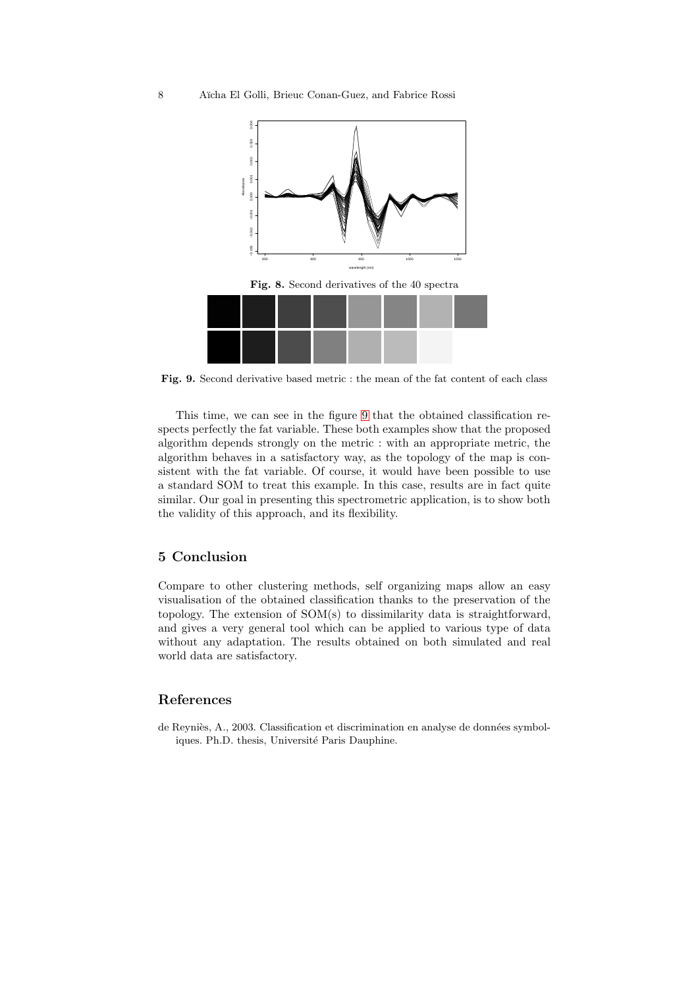

<span id="page-7-2"></span><span id="page-7-1"></span>Fig. 9. Second derivative based metric : the mean of the fat content of each class

This time, we can see in the figure [9](#page-7-2) that the obtained classification respects perfectly the fat variable. These both examples show that the proposed algorithm depends strongly on the metric : with an appropriate metric, the algorithm behaves in a satisfactory way, as the topology of the map is consistent with the fat variable. Of course, it would have been possible to use a standard SOM to treat this example. In this case, results are in fact quite similar. Our goal in presenting this spectrometric application, is to show both the validity of this approach, and its flexibility.

# 5 Conclusion

Compare to other clustering methods, self organizing maps allow an easy visualisation of the obtained classification thanks to the preservation of the topology. The extension of SOM(s) to dissimilarity data is straightforward, and gives a very general tool which can be applied to various type of data without any adaptation. The results obtained on both simulated and real world data are satisfactory.

## References

<span id="page-7-0"></span>de Reyniès, A., 2003. Classification et discrimination en analyse de données symboliques. Ph.D. thesis, Université Paris Dauphine.